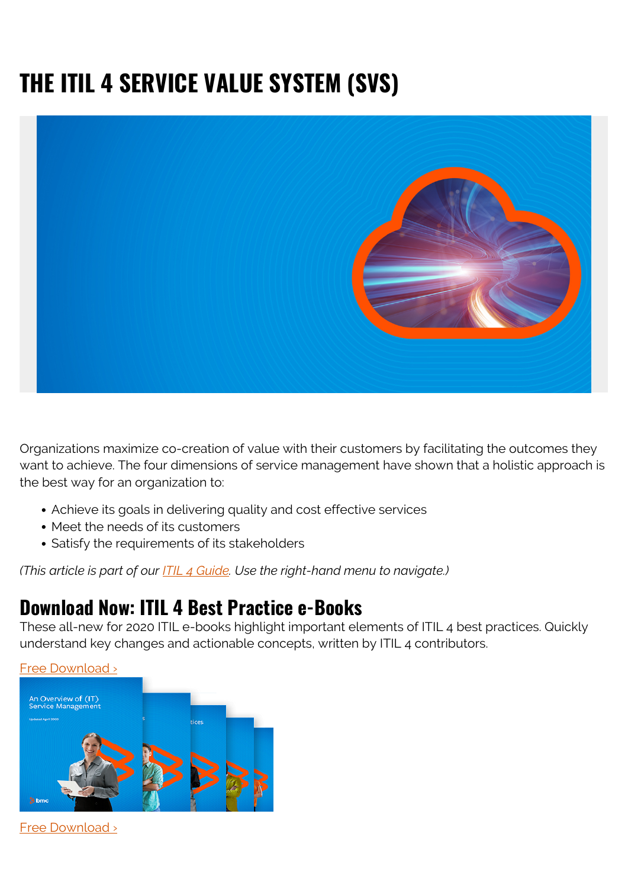## **THE ITIL 4 SERVICE VALUE SYSTEM (SVS)**



Organizations maximize co-creation of value with their customers by facilitating the outcomes they want to achieve. The four dimensions of service management have shown that a holistic approach is the best way for an organization to:

- Achieve its goals in delivering quality and cost effective services
- Meet the needs of its customers
- Satisfy the requirements of its stakeholders

*(This article is part of our [ITIL 4 Guide](https://blogs.bmc.com/blogs/itil-4/). Use the right-hand menu to navigate.)*

## **Download Now: ITIL 4 Best Practice e-Books**

These all-new for 2020 ITIL e-books highlight important elements of ITIL 4 best practices. Quickly understand key changes and actionable concepts, written by ITIL 4 contributors.





[Free Download ›](https://www.bmc.com/forms/itil-free-ebook.html)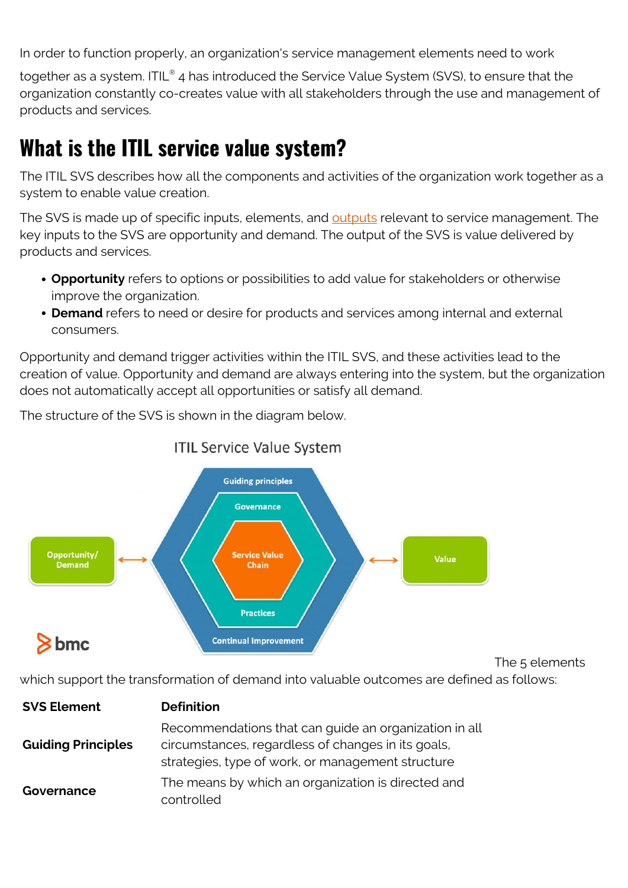In order to function properly, an organization's service management elements need to work

together as a system. ITIL $^{\circ}$  4 has introduced the Service Value System (SVS), to ensure that the organization constantly co-creates value with all stakeholders through the use and management of products and services.

## **What is the ITIL service value system?**

The ITIL SVS describes how all the components and activities of the organization work together as a system to enable value creation.

The SVS is made up of specific inputs, elements, and [outputs](https://blogs.bmc.com/blogs/outcomes-vs-outputs/) relevant to service management. The key inputs to the SVS are opportunity and demand. The output of the SVS is value delivered by products and services.

- **Opportunity** refers to options or possibilities to add value for stakeholders or otherwise improve the organization.
- **Demand** refers to need or desire for products and services among internal and external consumers.

Opportunity and demand trigger activities within the ITIL SVS, and these activities lead to the creation of value. Opportunity and demand are always entering into the system, but the organization does not automatically accept all opportunities or satisfy all demand.

The structure of the SVS is shown in the diagram below.



## **ITIL Service Value System**

The 5 elements

which support the transformation of demand into valuable outcomes are defined as follows:

| <b>SVS Element</b>        | <b>Definition</b>                                                                                                                                                |
|---------------------------|------------------------------------------------------------------------------------------------------------------------------------------------------------------|
| <b>Guiding Principles</b> | Recommendations that can guide an organization in all<br>circumstances, regardless of changes in its goals,<br>strategies, type of work, or management structure |
| Governance                | The means by which an organization is directed and<br>controlled                                                                                                 |